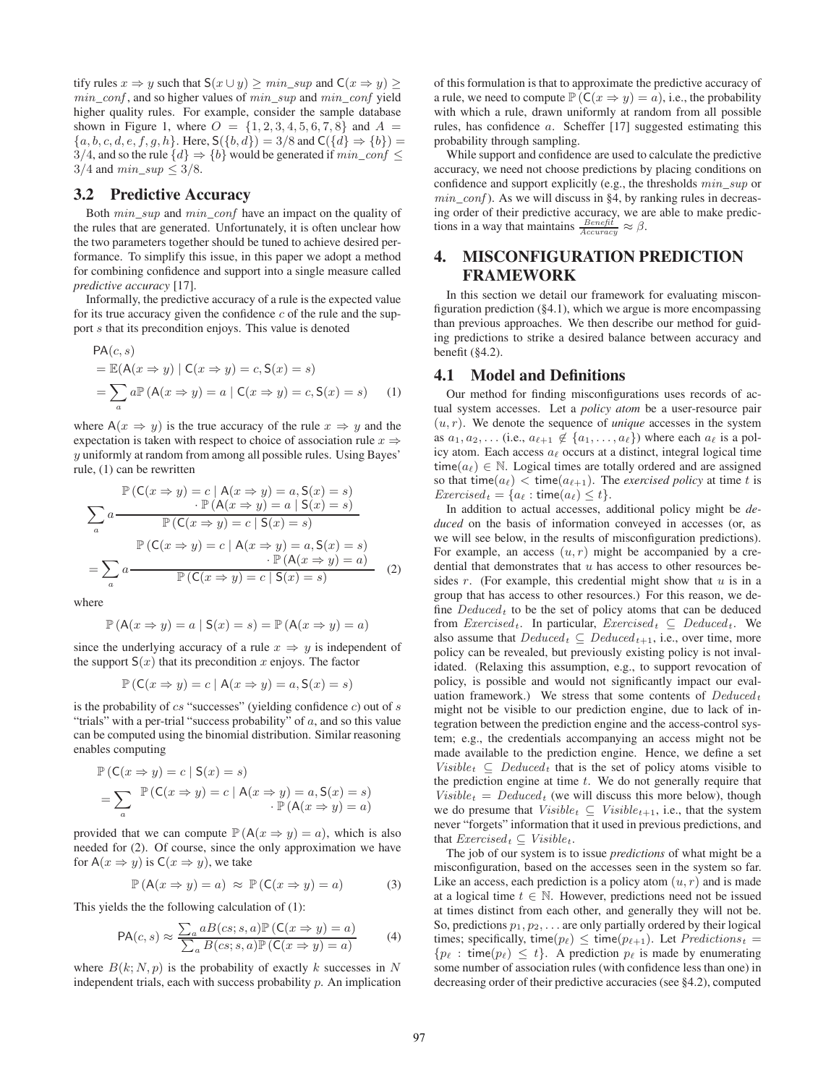tify rules  $x \Rightarrow y$  such that  $S(x \cup y) \geq min\_sup$  and  $C(x \Rightarrow y) \geq$ *min*\_*conf* , and so higher values of *min*\_*sup* and *min*\_*conf* yield higher quality rules. For example, consider the sample database shown in Figure 1, where  $O = \{1, 2, 3, 4, 5, 6, 7, 8\}$  and  $A =$  ${a, b, c, d, e, f, g, h}$ . Here,  $S({b, d})=3/8$  and  $C({d} \Rightarrow {b}) =$ 3/4, and so the rule  $\{d\} \Rightarrow \{b\}$  would be generated if  $min\_conf \leq$  $3/4$  and  $min\_sup \leq 3/8$ .

## **3.2 Predictive Accuracy**

Both *min*\_*sup* and *min*\_*conf* have an impact on the quality of the rules that are generated. Unfortunately, it is often unclear how the two parameters together should be tuned to achieve desired performance. To simplify this issue, in this paper we adopt a method for combining confidence and support into a single measure called *predictive accuracy* [17].

Informally, the predictive accuracy of a rule is the expected value for its true accuracy given the confidence  $c$  of the rule and the support s that its precondition enjoys. This value is denoted

$$
\begin{aligned} \mathsf{PA}(c, s) \\ &= \mathbb{E}(\mathsf{A}(x \Rightarrow y) \mid \mathsf{C}(x \Rightarrow y) = c, \mathsf{S}(x) = s) \\ &= \sum_{a} a \mathbb{P}(\mathsf{A}(x \Rightarrow y) = a \mid \mathsf{C}(x \Rightarrow y) = c, \mathsf{S}(x) = s) \end{aligned} \tag{1}
$$

where  $A(x \Rightarrow y)$  is the true accuracy of the rule  $x \Rightarrow y$  and the expectation is taken with respect to choice of association rule  $x \Rightarrow$ y uniformly at random from among all possible rules. Using Bayes' rule, (1) can be rewritten

$$
\mathbb{P}(C(x \Rightarrow y) = c \mid A(x \Rightarrow y) = a, S(x) = s)
$$

$$
\sum_{a} a \frac{\mathbb{P}(A(x \Rightarrow y) = a \mid S(x) = s)}{\mathbb{P}(C(x \Rightarrow y) = c \mid S(x) = s)}
$$

$$
\mathbb{P}(C(x \Rightarrow y) = c \mid A(x \Rightarrow y) = a, S(x) = s)
$$

$$
= \sum_{a} a \frac{\mathbb{P}(C(x \Rightarrow y) = c \mid S(x) = s)}{\mathbb{P}(C(x \Rightarrow y) = c \mid S(x) = s)}
$$
(2)

where

$$
\mathbb{P}\left(\mathsf{A}(x \Rightarrow y) = a \mid \mathsf{S}(x) = s\right) = \mathbb{P}\left(\mathsf{A}(x \Rightarrow y) = a\right)
$$

since the underlying accuracy of a rule  $x \Rightarrow y$  is independent of the support  $S(x)$  that its precondition x enjoys. The factor

$$
\mathbb{P}\left(\mathsf{C}(x \Rightarrow y) = c \mid \mathsf{A}(x \Rightarrow y) = a, \mathsf{S}(x) = s\right)
$$

is the probability of  $cs$  "successes" (yielding confidence  $c$ ) out of  $s$ "trials" with a per-trial "success probability" of  $a$ , and so this value can be computed using the binomial distribution. Similar reasoning enables computing

$$
\mathbb{P}\left(\mathsf{C}(x \Rightarrow y) = c \mid \mathsf{S}(x) = s\right)
$$
\n
$$
= \sum_{a} \mathbb{P}\left(\mathsf{C}(x \Rightarrow y) = c \mid \mathsf{A}(x \Rightarrow y) = a, \mathsf{S}(x) = s\right)
$$
\n
$$
\mathbb{P}\left(\mathsf{A}(x \Rightarrow y) = a\right)
$$

provided that we can compute  $\mathbb{P} (A(x \Rightarrow y) = a)$ , which is also needed for (2). Of course, since the only approximation we have for  $A(x \Rightarrow y)$  is  $C(x \Rightarrow y)$ , we take

$$
\mathbb{P}(\mathsf{A}(x \Rightarrow y) = a) \approx \mathbb{P}(\mathsf{C}(x \Rightarrow y) = a)
$$
 (3)

This yields the the following calculation of (1):

$$
\mathsf{PA}(c,s) \approx \frac{\sum_{a} aB(c s;s,a) \mathbb{P}\left(\mathsf{C}(x \Rightarrow y) = a\right)}{\sum_{a} B(c s;s,a) \mathbb{P}\left(\mathsf{C}(x \Rightarrow y) = a\right)}\tag{4}
$$

where  $B(k; N, p)$  is the probability of exactly k successes in N independent trials, each with success probability  $p$ . An implication of this formulation is that to approximate the predictive accuracy of a rule, we need to compute  $\mathbb{P}(\mathsf{C}(x \Rightarrow y) = a)$ , i.e., the probability with which a rule, drawn uniformly at random from all possible rules, has confidence a. Scheffer [17] suggested estimating this probability through sampling.

While support and confidence are used to calculate the predictive accuracy, we need not choose predictions by placing conditions on confidence and support explicitly (e.g., the thresholds *min*\_*sup* or *min*\_*conf* ). As we will discuss in §4, by ranking rules in decreasing order of their predictive accuracy, we are able to make predictions in a way that maintains  $\frac{Benefit}{Accuracy} \approx \beta$ .

# **4. MISCONFIGURATION PREDICTION FRAMEWORK**

In this section we detail our framework for evaluating misconfiguration prediction (§4.1), which we argue is more encompassing than previous approaches. We then describe our method for guiding predictions to strike a desired balance between accuracy and benefit (§4.2).

### **4.1 Model and Definitions**

Our method for finding misconfigurations uses records of actual system accesses. Let a *policy atom* be a user-resource pair  $(u, r)$ . We denote the sequence of *unique* accesses in the system as  $a_1, a_2, \ldots$  (i.e.,  $a_{\ell+1} \notin \{a_1, \ldots, a_{\ell}\}\)$  where each  $a_{\ell}$  is a policy atom. Each access  $a_{\ell}$  occurs at a distinct, integral logical time time( $a_{\ell}$ )  $\in \mathbb{N}$ . Logical times are totally ordered and are assigned so that time( $a_{\ell}$ )  $<$  time( $a_{\ell+1}$ ). The *exercised policy* at time t is  $Exercise d_t = \{a_\ell : \text{time}(a_\ell) \leq t\}.$ 

In addition to actual accesses, additional policy might be *deduced* on the basis of information conveyed in accesses (or, as we will see below, in the results of misconfiguration predictions). For example, an access  $(u, r)$  might be accompanied by a credential that demonstrates that  $u$  has access to other resources besides  $r$ . (For example, this credential might show that  $u$  is in a group that has access to other resources.) For this reason, we define  $Deduced_t$  to be the set of policy atoms that can be deduced from  $Exercised_t$ . In particular,  $Exercised_t \subseteq Deduced_t$ . We also assume that  $Deduced_t \subseteq Deduced_{t+1}$ , i.e., over time, more policy can be revealed, but previously existing policy is not invalidated. (Relaxing this assumption, e.g., to support revocation of policy, is possible and would not significantly impact our evaluation framework.) We stress that some contents of  $Deduced_t$ might not be visible to our prediction engine, due to lack of integration between the prediction engine and the access-control system; e.g., the credentials accompanying an access might not be made available to the prediction engine. Hence, we define a set  $Visible_t \subseteq Deduced_t$  that is the set of policy atoms visible to the prediction engine at time  $t$ . We do not generally require that  $Visible<sub>t</sub> = Deduced<sub>t</sub>$  (we will discuss this more below), though we do presume that  $Visible_t \subseteq Visible_{t+1}$ , i.e., that the system never "forgets" information that it used in previous predictions, and that  $Exercise\ddot{d}_t \subseteq Visible_t$ .

The job of our system is to issue *predictions* of what might be a misconfiguration, based on the accesses seen in the system so far. Like an access, each prediction is a policy atom  $(u, r)$  and is made at a logical time  $t \in \mathbb{N}$ . However, predictions need not be issued at times distinct from each other, and generally they will not be. So, predictions  $p_1, p_2, \ldots$  are only partially ordered by their logical times; specifically, time( $p_\ell$ )  $\leq$  time( $p_{\ell+1}$ ). Let *Predictions<sub>t</sub>* =  $\{p_{\ell} : \text{time}(p_{\ell}) \leq t\}$ . A prediction  $p_{\ell}$  is made by enumerating some number of association rules (with confidence less than one) in decreasing order of their predictive accuracies (see §4.2), computed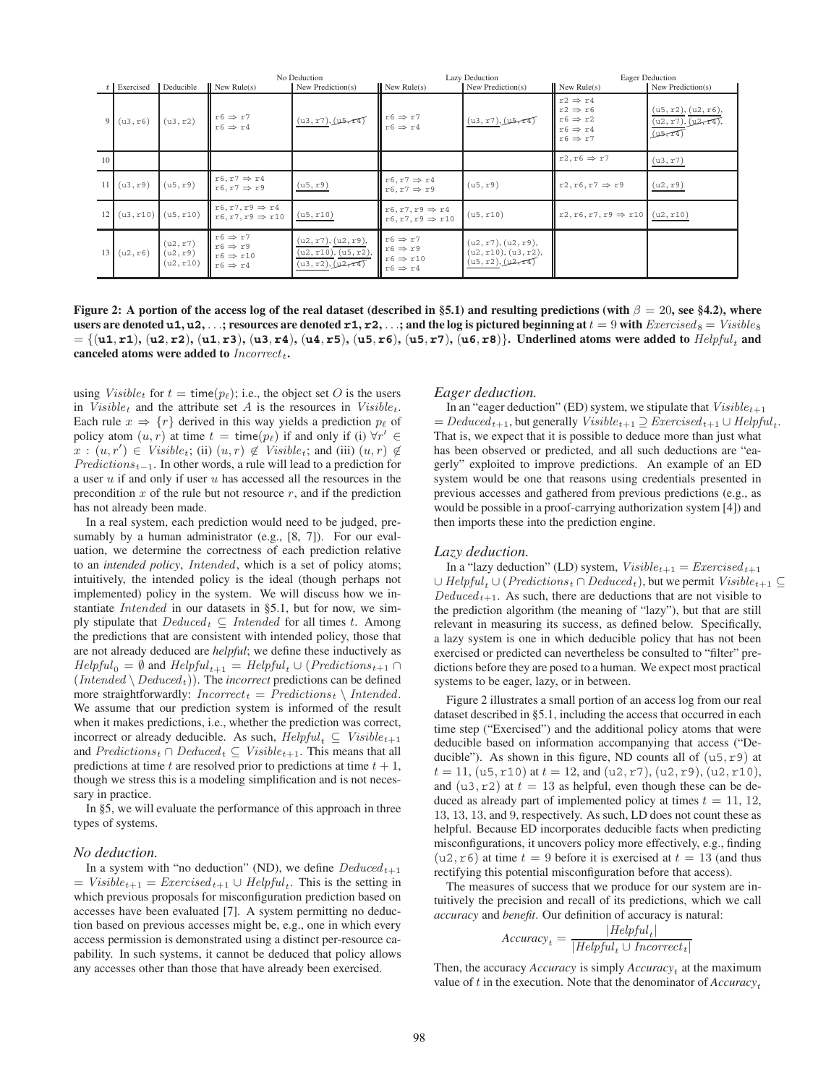|                 |               |                                   |                                                                                           | No Deduction                                                                                                                                                         | <b>Lazy Deduction</b>                                                                     |                                                                   | <b>Eager Deduction</b>                                                                                          |                                                       |
|-----------------|---------------|-----------------------------------|-------------------------------------------------------------------------------------------|----------------------------------------------------------------------------------------------------------------------------------------------------------------------|-------------------------------------------------------------------------------------------|-------------------------------------------------------------------|-----------------------------------------------------------------------------------------------------------------|-------------------------------------------------------|
|                 | $t$ Exercised | Deducible                         | New $Rule(s)$                                                                             | New Prediction(s)                                                                                                                                                    | New $Rule(s)$                                                                             | New Prediction(s)                                                 | New $Rule(s)$                                                                                                   | New Prediction(s)                                     |
|                 | 9 (u3, r6)    | (u3, r2)                          | $r6 \Rightarrow r7$<br>$r6 \Rightarrow r4$                                                | $\frac{(\text{u3}, \text{r7}), (\text{u5}, \text{r4})}{\text{r6}}$ $\begin{array}{c} \text{r6} \Rightarrow \text{r7} \\ \text{r6} \Rightarrow \text{r4} \end{array}$ |                                                                                           | ( u3, r7),  (u5, 74)                                              | $r2 \Rightarrow r4$<br>$r2 \Rightarrow r6$<br>$r6 \Rightarrow r2$<br>$r6 \Rightarrow r4$<br>$r6 \Rightarrow r7$ | (u5, r2), (u2, r6),<br>(12, r7), (12, r4)<br>(15, 14) |
| 10              |               |                                   |                                                                                           |                                                                                                                                                                      |                                                                                           |                                                                   | $r2, r6 \Rightarrow r7$                                                                                         | (u3, r7)                                              |
| 11 <sup>1</sup> | (u3, r9)      | (u5, r9)                          | $r6, r7 \Rightarrow r4$<br>$r6, r7 \Rightarrow r9$                                        | (u5, r9)                                                                                                                                                             | $r6, r7 \Rightarrow r4$<br>$r6, r7 \Rightarrow r9$                                        | (u5, r9)                                                          | $r2, r6, r7 \Rightarrow r9$                                                                                     | (u2, r9)                                              |
| 12 <sub>1</sub> | (u3, r10)     | (u5, r10)                         | $r6, r7, r9 \Rightarrow r4$<br>$r6, r7, r9 \Rightarrow r10$                               | (u5, r10)                                                                                                                                                            | $r6, r7, r9 \Rightarrow r4$<br>$r6, r7, r9 \Rightarrow r10$                               | (u5, r10)                                                         | $r2, r6, r7, r9 \Rightarrow r10$ (u2, r10)                                                                      |                                                       |
| 13 <sup>1</sup> | (u2, r6)      | (u2, r7)<br>(u2, r9)<br>(u2, r10) | $r6 \Rightarrow r7$<br>$r6 \Rightarrow r9$<br>$r6 \Rightarrow r10$<br>$r6 \Rightarrow r4$ | (u2, r7), (u2, r9),<br>(u2, r10), (u5, r2)<br>(u3, r2), (u2, r4)                                                                                                     | $r6 \Rightarrow r7$<br>$r6 \Rightarrow r9$<br>$r6 \Rightarrow r10$<br>$r6 \Rightarrow r4$ | (u2, r7), (u2, r9),<br>(u2, r10), (u3, r2),<br>(15, r2), (12, r4) |                                                                                                                 |                                                       |

**Figure 2: A portion of the access log of the real dataset (described in §5.1) and resulting predictions (with** β = 20**, see §4.2), where** users are denoted u1, u2, ...; resources are denoted r1, r2, ...; and the log is pictured beginning at  $t = 9$  with  $Exercised_8 = Visible_8$  $=\{(u1, r1), (u2, r2), (u1, r3), (u3, r4), (u4, r5), (u5, r6), (u5, r7), (u6, r8)\}.$  Underlined atoms were added to  $Helpful_t$  and canceled atoms were added to *Incorrect*<sub>t</sub>.

using  $Visible_t$  for  $t = \text{time}(p_\ell)$ ; i.e., the object set O is the users in  $Visible_t$  and the attribute set A is the resources in  $Visible_t$ . Each rule  $x \Rightarrow \{r\}$  derived in this way yields a prediction  $p_{\ell}$  of policy atom  $(u, r)$  at time  $t = \text{time}(p_\ell)$  if and only if (i)  $\forall r' \in$  $x : (u, r') \in V isible_t$ ; (ii)  $(u, r) \notin V isible_t$ ; and (iii)  $(u, r) \notin V$ *Predictions* t−1. In other words, a rule will lead to a prediction for a user  $u$  if and only if user  $u$  has accessed all the resources in the precondition  $x$  of the rule but not resource  $r$ , and if the prediction has not already been made.

In a real system, each prediction would need to be judged, presumably by a human administrator (e.g., [8, 7]). For our evaluation, we determine the correctness of each prediction relative to an *intended policy*, *Intended*, which is a set of policy atoms; intuitively, the intended policy is the ideal (though perhaps not implemented) policy in the system. We will discuss how we instantiate *Intended* in our datasets in §5.1, but for now, we simply stipulate that  $Deduced_t \subseteq Intended$  for all times t. Among the predictions that are consistent with intended policy, those that are not already deduced are *helpful*; we define these inductively as  $Helpful_0 = \emptyset$  and  $Helpful_{t+1} = Helpful_t \cup (Predictions_{t+1} \cap$  $(Intended \setminus Deduced_t))$ . The *incorrect* predictions can be defined more straightforwardly:  $Incorrect_t = Predictions_t \setminus Intended$ . We assume that our prediction system is informed of the result when it makes predictions, i.e., whether the prediction was correct, incorrect or already deducible. As such,  $Helpful_t \subseteq Visible_{t+1}$ and *Predictions*<sup>t</sup> ∩ *Deduced*<sup>t</sup> ⊆ *Visible*<sup> $t+1$ </sup>. This means that all predictions at time t are resolved prior to predictions at time  $t + 1$ , though we stress this is a modeling simplification and is not necessary in practice.

In §5, we will evaluate the performance of this approach in three types of systems.

#### *No deduction.*

In a system with "no deduction" (ND), we define  $Deduced_{t+1}$  $= Visible_{t+1} = Exercise_{t+1} \cup Helpful_t$ . This is the setting in which previous proposals for misconfiguration prediction based on accesses have been evaluated [7]. A system permitting no deduction based on previous accesses might be, e.g., one in which every access permission is demonstrated using a distinct per-resource capability. In such systems, it cannot be deduced that policy allows any accesses other than those that have already been exercised.

#### *Eager deduction.*

In an "eager deduction" (ED) system, we stipulate that  $Visible_{t+1}$  $= Deduced_{t+1}$ , but generally  $Visible_{t+1} \supseteq Exercised_{t+1} \cup Helpful_t$ . That is, we expect that it is possible to deduce more than just what has been observed or predicted, and all such deductions are "eagerly" exploited to improve predictions. An example of an ED system would be one that reasons using credentials presented in previous accesses and gathered from previous predictions (e.g., as would be possible in a proof-carrying authorization system [4]) and then imports these into the prediction engine.

#### *Lazy deduction.*

In a "lazy deduction" (LD) system,  $Visible_{t+1} = Exercise_{t+1}$ ∪ *Helpful*, ∪ (*Predictions*<sub>t</sub> ∩ *Deduced*<sub>t</sub>), but we permit *Visible*<sub>t+1</sub> ⊂  $Deduced_{t+1}$ . As such, there are deductions that are not visible to the prediction algorithm (the meaning of "lazy"), but that are still relevant in measuring its success, as defined below. Specifically, a lazy system is one in which deducible policy that has not been exercised or predicted can nevertheless be consulted to "filter" predictions before they are posed to a human. We expect most practical systems to be eager, lazy, or in between.

Figure 2 illustrates a small portion of an access log from our real dataset described in §5.1, including the access that occurred in each time step ("Exercised") and the additional policy atoms that were deducible based on information accompanying that access ("Deducible"). As shown in this figure, ND counts all of  $(u5, r9)$  at  $t = 11$ , (u5, r10) at  $t = 12$ , and (u2, r7), (u2, r9), (u2, r10), and  $(u3, r2)$  at  $t = 13$  as helpful, even though these can be deduced as already part of implemented policy at times  $t = 11, 12,$ 13, 13, 13, and 9, respectively. As such, LD does not count these as helpful. Because ED incorporates deducible facts when predicting misconfigurations, it uncovers policy more effectively, e.g., finding  $(u2, r6)$  at time  $t = 9$  before it is exercised at  $t = 13$  (and thus rectifying this potential misconfiguration before that access).

The measures of success that we produce for our system are intuitively the precision and recall of its predictions, which we call *accuracy* and *benefit*. Our definition of accuracy is natural:

$$
Accuracy_t = \frac{|Helpful_t|}{|Helpful_t \cup Incorrect_t|}
$$

Then, the accuracy  $Accuracy$  is simply  $Accuracy_t$  at the maximum value of t in the execution. Note that the denominator of  $Accuracy<sub>t</sub>$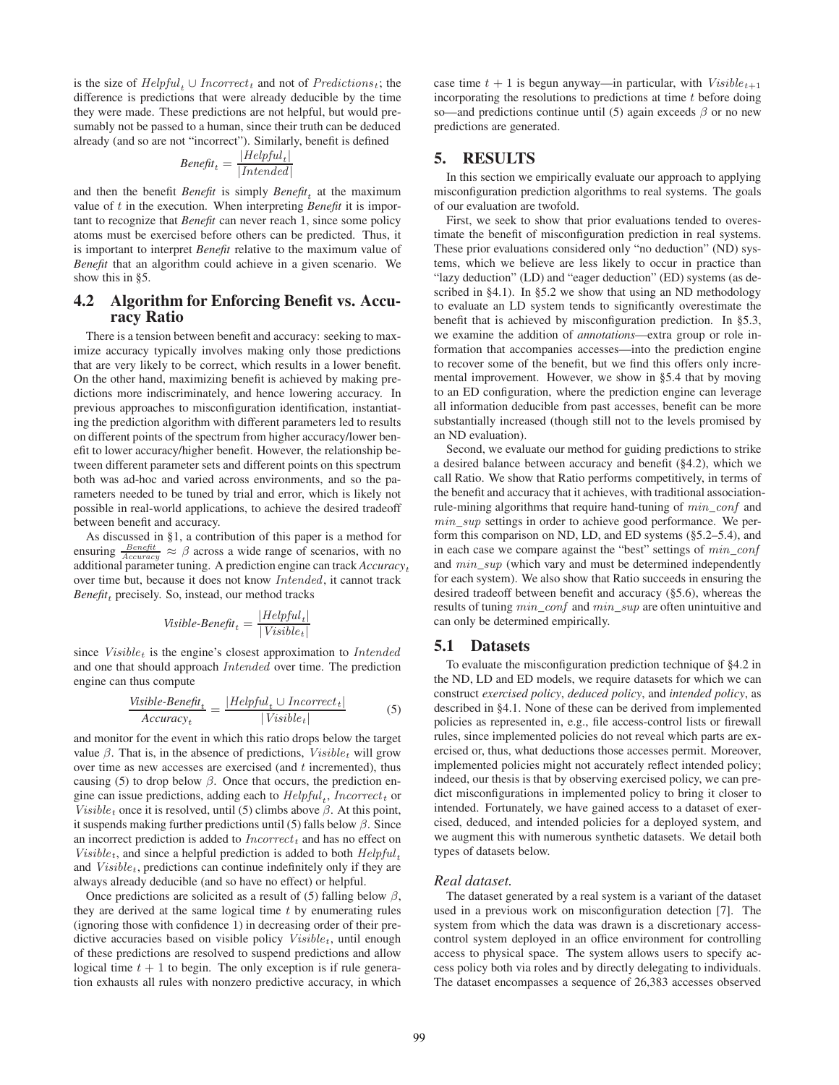is the size of  $Helpful_t \cup Incorrect_t$  and not of  $Predictions_t$ ; the difference is predictions that were already deducible by the time they were made. These predictions are not helpful, but would presumably not be passed to a human, since their truth can be deduced already (and so are not "incorrect"). Similarly, benefit is defined

$$
\textit{Benefit}_{t} = \frac{|\textit{Helpful}_{t}|}{|\textit{Intended}|}
$$

and then the benefit *Benefit* is simply *Benefit*, at the maximum value of t in the execution. When interpreting *Benefit* it is important to recognize that *Benefit* can never reach 1, since some policy atoms must be exercised before others can be predicted. Thus, it is important to interpret *Benefit* relative to the maximum value of *Benefit* that an algorithm could achieve in a given scenario. We show this in §5.

# **4.2 Algorithm for Enforcing Benefit vs. Accuracy Ratio**

There is a tension between benefit and accuracy: seeking to maximize accuracy typically involves making only those predictions that are very likely to be correct, which results in a lower benefit. On the other hand, maximizing benefit is achieved by making predictions more indiscriminately, and hence lowering accuracy. In previous approaches to misconfiguration identification, instantiating the prediction algorithm with different parameters led to results on different points of the spectrum from higher accuracy/lower benefit to lower accuracy/higher benefit. However, the relationship between different parameter sets and different points on this spectrum both was ad-hoc and varied across environments, and so the parameters needed to be tuned by trial and error, which is likely not possible in real-world applications, to achieve the desired tradeoff between benefit and accuracy.

As discussed in §1, a contribution of this paper is a method for ensuring  $\frac{Benefit}{Accuracy} \approx \beta$  across a wide range of scenarios, with no additional parameter tuning. A prediction engine can track  $Accuracy<sub>t</sub>$ over time but, because it does not know *Intended*, it cannot track *Benefit*, precisely. So, instead, our method tracks

$$
\textit{Visible-Benefit}_{t} = \frac{|Helpful_t|}{|Visible_t|}
$$

since *Visible<sub>t</sub>* is the engine's closest approximation to *Intended* and one that should approach *Intended* over time. The prediction engine can thus compute

$$
\frac{Visible\text{-}Beneft_t}{Accuracy_t} = \frac{|Helpful_t \cup Incorrect_t|}{|Visible_t|} \tag{5}
$$

and monitor for the event in which this ratio drops below the target value  $β$ . That is, in the absence of predictions,  $Visible_t$  will grow over time as new accesses are exercised (and  $t$  incremented), thus causing (5) to drop below  $\beta$ . Once that occurs, the prediction engine can issue predictions, adding each to  $Helpful_t$ , *Incorrect<sub>t</sub>* or *Visible<sub>t</sub>* once it is resolved, until (5) climbs above  $\beta$ . At this point, it suspends making further predictions until (5) falls below  $\beta$ . Since an incorrect prediction is added to  $Incorrect<sub>t</sub>$  and has no effect on *Visible<sub>t</sub>*, and since a helpful prediction is added to both  $Helpful_t$ and *Visible*t, predictions can continue indefinitely only if they are always already deducible (and so have no effect) or helpful.

Once predictions are solicited as a result of (5) falling below  $\beta$ , they are derived at the same logical time  $t$  by enumerating rules (ignoring those with confidence 1) in decreasing order of their predictive accuracies based on visible policy Visible<sub>t</sub>, until enough of these predictions are resolved to suspend predictions and allow logical time  $t + 1$  to begin. The only exception is if rule generation exhausts all rules with nonzero predictive accuracy, in which case time  $t + 1$  is begun anyway—in particular, with  $Visible_{t+1}$ incorporating the resolutions to predictions at time  $t$  before doing so—and predictions continue until (5) again exceeds  $\beta$  or no new predictions are generated.

# **5. RESULTS**

In this section we empirically evaluate our approach to applying misconfiguration prediction algorithms to real systems. The goals of our evaluation are twofold.

First, we seek to show that prior evaluations tended to overestimate the benefit of misconfiguration prediction in real systems. These prior evaluations considered only "no deduction" (ND) systems, which we believe are less likely to occur in practice than "lazy deduction" (LD) and "eager deduction" (ED) systems (as described in §4.1). In §5.2 we show that using an ND methodology to evaluate an LD system tends to significantly overestimate the benefit that is achieved by misconfiguration prediction. In §5.3, we examine the addition of *annotations*—extra group or role information that accompanies accesses—into the prediction engine to recover some of the benefit, but we find this offers only incremental improvement. However, we show in §5.4 that by moving to an ED configuration, where the prediction engine can leverage all information deducible from past accesses, benefit can be more substantially increased (though still not to the levels promised by an ND evaluation).

Second, we evaluate our method for guiding predictions to strike a desired balance between accuracy and benefit (§4.2), which we call Ratio. We show that Ratio performs competitively, in terms of the benefit and accuracy that it achieves, with traditional associationrule-mining algorithms that require hand-tuning of *min*\_*conf* and *min*\_*sup* settings in order to achieve good performance. We perform this comparison on ND, LD, and ED systems (§5.2–5.4), and in each case we compare against the "best" settings of *min*\_*conf* and *min*\_*sup* (which vary and must be determined independently for each system). We also show that Ratio succeeds in ensuring the desired tradeoff between benefit and accuracy (§5.6), whereas the results of tuning *min*\_*conf* and *min*\_*sup* are often unintuitive and can only be determined empirically.

#### **5.1 Datasets**

To evaluate the misconfiguration prediction technique of §4.2 in the ND, LD and ED models, we require datasets for which we can construct *exercised policy*, *deduced policy*, and *intended policy*, as described in §4.1. None of these can be derived from implemented policies as represented in, e.g., file access-control lists or firewall rules, since implemented policies do not reveal which parts are exercised or, thus, what deductions those accesses permit. Moreover, implemented policies might not accurately reflect intended policy; indeed, our thesis is that by observing exercised policy, we can predict misconfigurations in implemented policy to bring it closer to intended. Fortunately, we have gained access to a dataset of exercised, deduced, and intended policies for a deployed system, and we augment this with numerous synthetic datasets. We detail both types of datasets below.

#### *Real dataset.*

The dataset generated by a real system is a variant of the dataset used in a previous work on misconfiguration detection [7]. The system from which the data was drawn is a discretionary accesscontrol system deployed in an office environment for controlling access to physical space. The system allows users to specify access policy both via roles and by directly delegating to individuals. The dataset encompasses a sequence of 26,383 accesses observed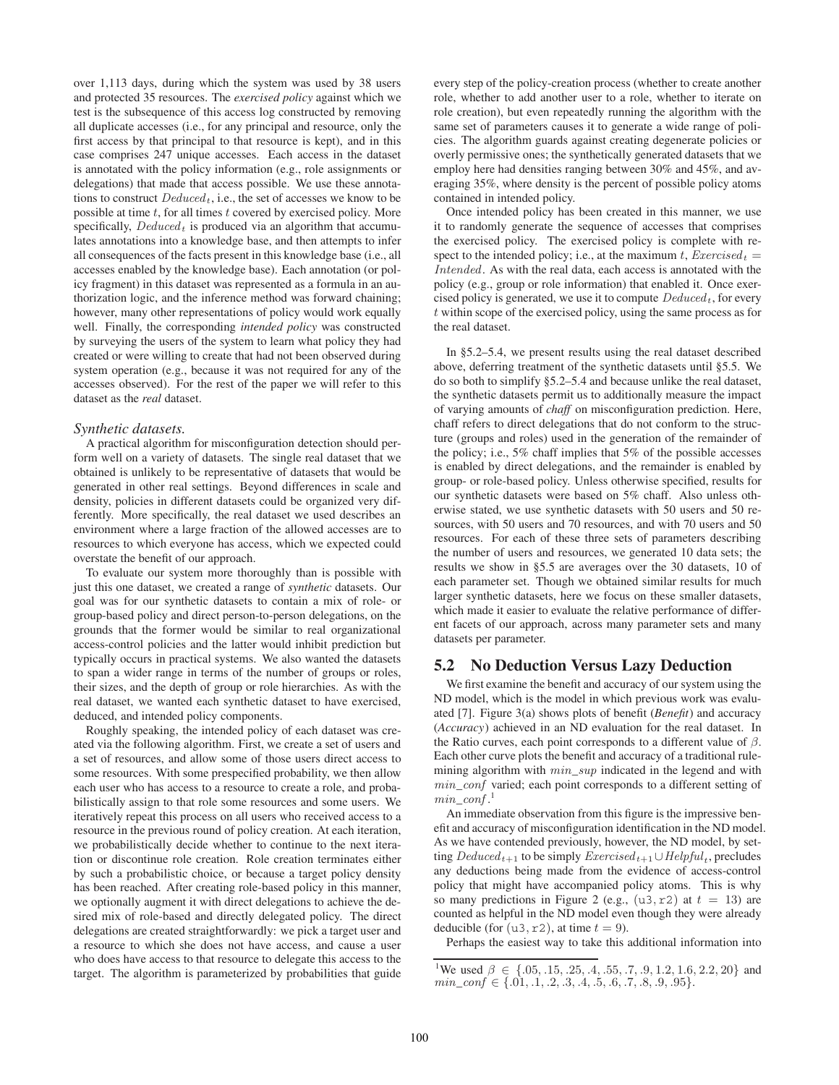over 1,113 days, during which the system was used by 38 users and protected 35 resources. The *exercised policy* against which we test is the subsequence of this access log constructed by removing all duplicate accesses (i.e., for any principal and resource, only the first access by that principal to that resource is kept), and in this case comprises 247 unique accesses. Each access in the dataset is annotated with the policy information (e.g., role assignments or delegations) that made that access possible. We use these annotations to construct  $Deduced_t$ , i.e., the set of accesses we know to be possible at time  $t$ , for all times  $t$  covered by exercised policy. More specifically,  $Deduced_t$  is produced via an algorithm that accumulates annotations into a knowledge base, and then attempts to infer all consequences of the facts present in this knowledge base (i.e., all accesses enabled by the knowledge base). Each annotation (or policy fragment) in this dataset was represented as a formula in an authorization logic, and the inference method was forward chaining; however, many other representations of policy would work equally well. Finally, the corresponding *intended policy* was constructed by surveying the users of the system to learn what policy they had created or were willing to create that had not been observed during system operation (e.g., because it was not required for any of the accesses observed). For the rest of the paper we will refer to this dataset as the *real* dataset.

#### *Synthetic datasets.*

A practical algorithm for misconfiguration detection should perform well on a variety of datasets. The single real dataset that we obtained is unlikely to be representative of datasets that would be generated in other real settings. Beyond differences in scale and density, policies in different datasets could be organized very differently. More specifically, the real dataset we used describes an environment where a large fraction of the allowed accesses are to resources to which everyone has access, which we expected could overstate the benefit of our approach.

To evaluate our system more thoroughly than is possible with just this one dataset, we created a range of *synthetic* datasets. Our goal was for our synthetic datasets to contain a mix of role- or group-based policy and direct person-to-person delegations, on the grounds that the former would be similar to real organizational access-control policies and the latter would inhibit prediction but typically occurs in practical systems. We also wanted the datasets to span a wider range in terms of the number of groups or roles, their sizes, and the depth of group or role hierarchies. As with the real dataset, we wanted each synthetic dataset to have exercised, deduced, and intended policy components.

Roughly speaking, the intended policy of each dataset was created via the following algorithm. First, we create a set of users and a set of resources, and allow some of those users direct access to some resources. With some prespecified probability, we then allow each user who has access to a resource to create a role, and probabilistically assign to that role some resources and some users. We iteratively repeat this process on all users who received access to a resource in the previous round of policy creation. At each iteration, we probabilistically decide whether to continue to the next iteration or discontinue role creation. Role creation terminates either by such a probabilistic choice, or because a target policy density has been reached. After creating role-based policy in this manner, we optionally augment it with direct delegations to achieve the desired mix of role-based and directly delegated policy. The direct delegations are created straightforwardly: we pick a target user and a resource to which she does not have access, and cause a user who does have access to that resource to delegate this access to the target. The algorithm is parameterized by probabilities that guide every step of the policy-creation process (whether to create another role, whether to add another user to a role, whether to iterate on role creation), but even repeatedly running the algorithm with the same set of parameters causes it to generate a wide range of policies. The algorithm guards against creating degenerate policies or overly permissive ones; the synthetically generated datasets that we employ here had densities ranging between 30% and 45%, and averaging 35%, where density is the percent of possible policy atoms contained in intended policy.

Once intended policy has been created in this manner, we use it to randomly generate the sequence of accesses that comprises the exercised policy. The exercised policy is complete with respect to the intended policy; i.e., at the maximum t,  $Exercise d_t =$ *Intended*. As with the real data, each access is annotated with the policy (e.g., group or role information) that enabled it. Once exercised policy is generated, we use it to compute  $Deduced_t$ , for every t within scope of the exercised policy, using the same process as for the real dataset.

In §5.2–5.4, we present results using the real dataset described above, deferring treatment of the synthetic datasets until §5.5. We do so both to simplify §5.2–5.4 and because unlike the real dataset, the synthetic datasets permit us to additionally measure the impact of varying amounts of *chaff* on misconfiguration prediction. Here, chaff refers to direct delegations that do not conform to the structure (groups and roles) used in the generation of the remainder of the policy; i.e.,  $5\%$  chaff implies that  $5\%$  of the possible accesses is enabled by direct delegations, and the remainder is enabled by group- or role-based policy. Unless otherwise specified, results for our synthetic datasets were based on 5% chaff. Also unless otherwise stated, we use synthetic datasets with 50 users and 50 resources, with 50 users and 70 resources, and with 70 users and 50 resources. For each of these three sets of parameters describing the number of users and resources, we generated 10 data sets; the results we show in §5.5 are averages over the 30 datasets, 10 of each parameter set. Though we obtained similar results for much larger synthetic datasets, here we focus on these smaller datasets, which made it easier to evaluate the relative performance of different facets of our approach, across many parameter sets and many datasets per parameter.

# **5.2 No Deduction Versus Lazy Deduction**

We first examine the benefit and accuracy of our system using the ND model, which is the model in which previous work was evaluated [7]. Figure 3(a) shows plots of benefit (*Benefit*) and accuracy (*Accuracy*) achieved in an ND evaluation for the real dataset. In the Ratio curves, each point corresponds to a different value of  $\beta$ . Each other curve plots the benefit and accuracy of a traditional rulemining algorithm with *min*\_*sup* indicated in the legend and with *min*\_*conf* varied; each point corresponds to a different setting of *min*\_*conf* . 1

An immediate observation from this figure is the impressive benefit and accuracy of misconfiguration identification in the ND model. As we have contended previously, however, the ND model, by setting  $Deduced_{t+1}$  to be simply  $Exercised_{t+1} \cup Helpful_t$ , precludes any deductions being made from the evidence of access-control policy that might have accompanied policy atoms. This is why so many predictions in Figure 2 (e.g.,  $(u3, r2)$ ) at  $t = 13$ ) are counted as helpful in the ND model even though they were already deducible (for  $(u3, r2)$ , at time  $t = 9$ ).

Perhaps the easiest way to take this additional information into

<sup>&</sup>lt;sup>1</sup>We used  $\beta \in \{.05, .15, .25, .4, .55, .7, .9, 1.2, 1.6, 2.2, 20\}$  and  $min\_conf \in \{.01, .1, .2, .3, .4, .5, .6, .7, .8, .9, .95\}.$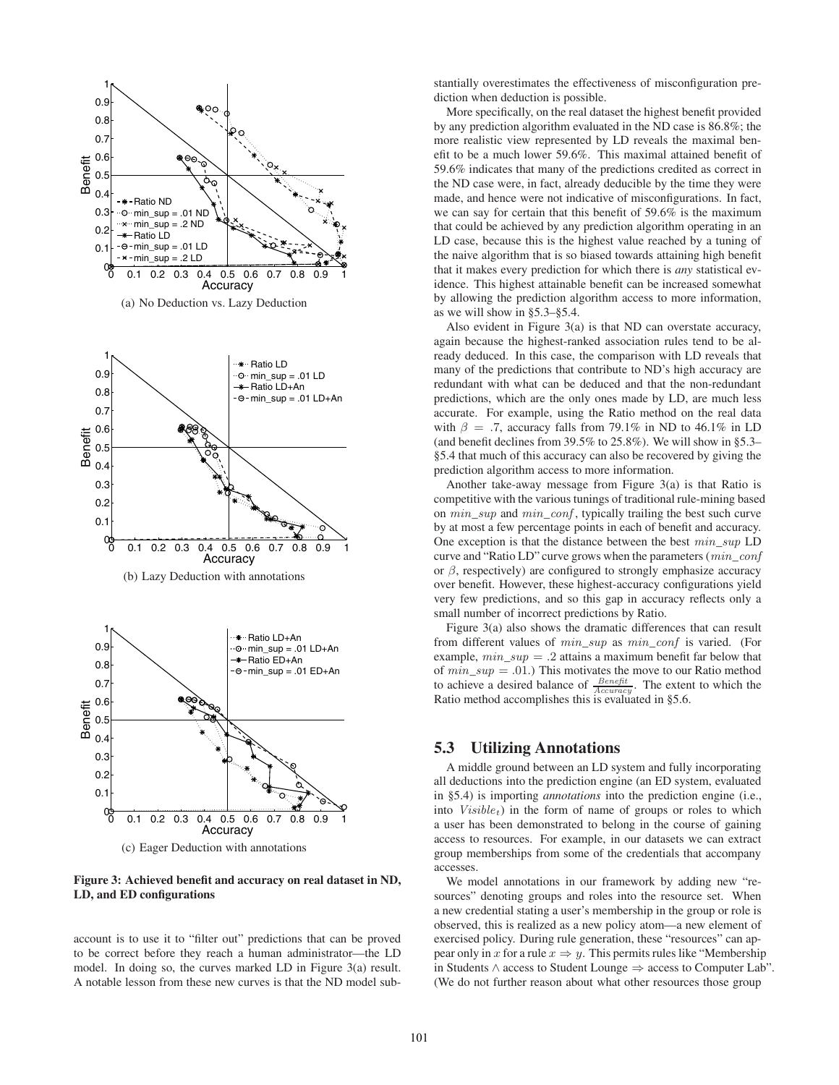

(a) No Deduction vs. Lazy Deduction





**Figure 3: Achieved benefit and accuracy on real dataset in ND, LD, and ED configurations**

account is to use it to "filter out" predictions that can be proved to be correct before they reach a human administrator—the LD model. In doing so, the curves marked LD in Figure 3(a) result. A notable lesson from these new curves is that the ND model substantially overestimates the effectiveness of misconfiguration prediction when deduction is possible.

More specifically, on the real dataset the highest benefit provided by any prediction algorithm evaluated in the ND case is 86.8%; the more realistic view represented by LD reveals the maximal benefit to be a much lower 59.6%. This maximal attained benefit of 59.6% indicates that many of the predictions credited as correct in the ND case were, in fact, already deducible by the time they were made, and hence were not indicative of misconfigurations. In fact, we can say for certain that this benefit of 59.6% is the maximum that could be achieved by any prediction algorithm operating in an LD case, because this is the highest value reached by a tuning of the naive algorithm that is so biased towards attaining high benefit that it makes every prediction for which there is *any* statistical evidence. This highest attainable benefit can be increased somewhat by allowing the prediction algorithm access to more information, as we will show in §5.3–§5.4.

Also evident in Figure 3(a) is that ND can overstate accuracy, again because the highest-ranked association rules tend to be already deduced. In this case, the comparison with LD reveals that many of the predictions that contribute to ND's high accuracy are redundant with what can be deduced and that the non-redundant predictions, which are the only ones made by LD, are much less accurate. For example, using the Ratio method on the real data with  $\beta = .7$ , accuracy falls from 79.1% in ND to 46.1% in LD (and benefit declines from 39.5% to 25.8%). We will show in §5.3– §5.4 that much of this accuracy can also be recovered by giving the prediction algorithm access to more information.

Another take-away message from Figure 3(a) is that Ratio is competitive with the various tunings of traditional rule-mining based on *min*\_*sup* and *min*\_*conf* , typically trailing the best such curve by at most a few percentage points in each of benefit and accuracy. One exception is that the distance between the best *min*\_*sup* LD curve and "Ratio LD" curve grows when the parameters (*min*\_*conf* or  $\beta$ , respectively) are configured to strongly emphasize accuracy over benefit. However, these highest-accuracy configurations yield very few predictions, and so this gap in accuracy reflects only a small number of incorrect predictions by Ratio.

Figure 3(a) also shows the dramatic differences that can result from different values of *min*\_*sup* as *min*\_*conf* is varied. (For example,  $min\_sup = .2$  attains a maximum benefit far below that of *min*\_*sup* = .01.) This motivates the move to our Ratio method to achieve a desired balance of *Benefit Accuracy* . The extent to which the Ratio method accomplishes this is evaluated in §5.6.

### **5.3 Utilizing Annotations**

A middle ground between an LD system and fully incorporating all deductions into the prediction engine (an ED system, evaluated in §5.4) is importing *annotations* into the prediction engine (i.e., into  $Visible<sub>t</sub>$ ) in the form of name of groups or roles to which a user has been demonstrated to belong in the course of gaining access to resources. For example, in our datasets we can extract group memberships from some of the credentials that accompany accesses.

We model annotations in our framework by adding new "resources" denoting groups and roles into the resource set. When a new credential stating a user's membership in the group or role is observed, this is realized as a new policy atom—a new element of exercised policy. During rule generation, these "resources" can appear only in x for a rule  $x \Rightarrow y$ . This permits rules like "Membership" in Students ∧ access to Student Lounge ⇒ access to Computer Lab". (We do not further reason about what other resources those group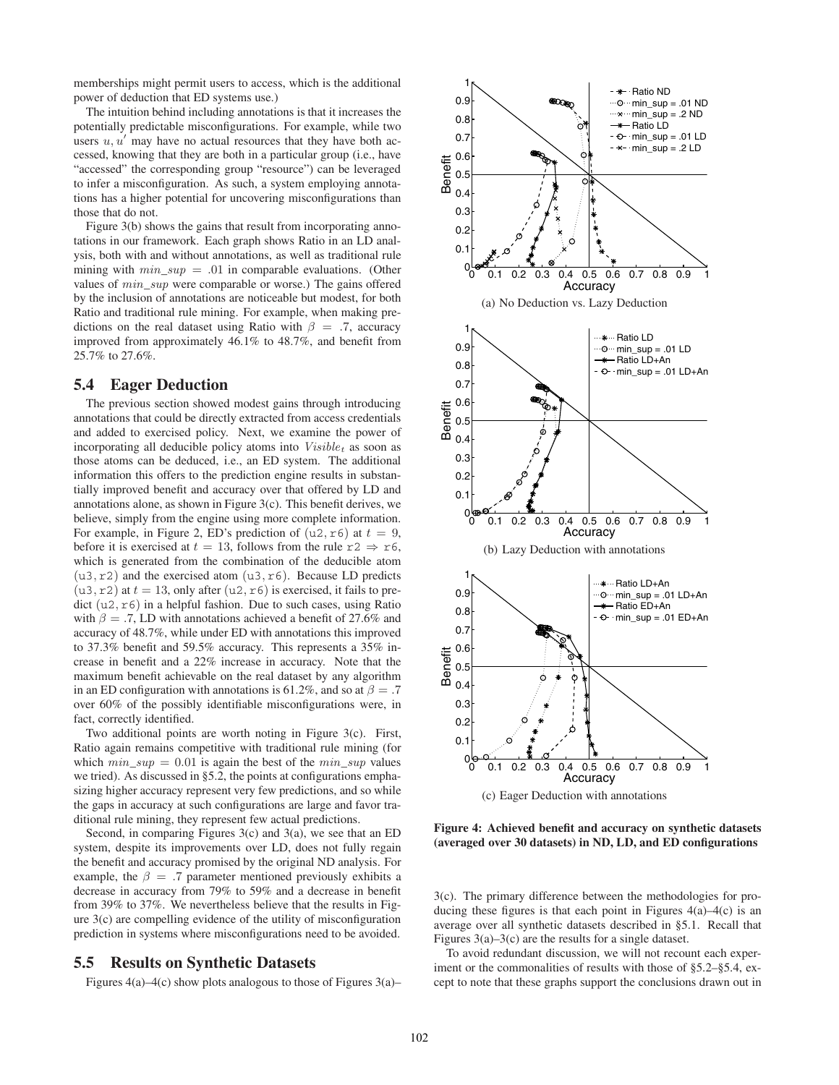memberships might permit users to access, which is the additional power of deduction that ED systems use.)

The intuition behind including annotations is that it increases the potentially predictable misconfigurations. For example, while two users  $u, u'$  may have no actual resources that they have both accessed, knowing that they are both in a particular group (i.e., have "accessed" the corresponding group "resource") can be leveraged to infer a misconfiguration. As such, a system employing annotations has a higher potential for uncovering misconfigurations than those that do not.

Figure 3(b) shows the gains that result from incorporating annotations in our framework. Each graph shows Ratio in an LD analysis, both with and without annotations, as well as traditional rule mining with *min*\_*sup* = .01 in comparable evaluations. (Other values of *min*\_*sup* were comparable or worse.) The gains offered by the inclusion of annotations are noticeable but modest, for both Ratio and traditional rule mining. For example, when making predictions on the real dataset using Ratio with  $\beta = .7$ , accuracy improved from approximately 46.1% to 48.7%, and benefit from 25.7% to 27.6%.

### **5.4 Eager Deduction**

The previous section showed modest gains through introducing annotations that could be directly extracted from access credentials and added to exercised policy. Next, we examine the power of incorporating all deducible policy atoms into  $Visible<sub>t</sub>$  as soon as those atoms can be deduced, i.e., an ED system. The additional information this offers to the prediction engine results in substantially improved benefit and accuracy over that offered by LD and annotations alone, as shown in Figure 3(c). This benefit derives, we believe, simply from the engine using more complete information. For example, in Figure 2, ED's prediction of  $(u2, r6)$  at  $t = 9$ , before it is exercised at  $t = 13$ , follows from the rule  $r2 \Rightarrow r6$ , which is generated from the combination of the deducible atom  $(u3, r2)$  and the exercised atom  $(u3, r6)$ . Because LD predicts  $(u3, r2)$  at  $t = 13$ , only after  $(u2, r6)$  is exercised, it fails to predict  $(u2, r6)$  in a helpful fashion. Due to such cases, using Ratio with  $\beta = .7$ , LD with annotations achieved a benefit of 27.6% and accuracy of 48.7%, while under ED with annotations this improved to 37.3% benefit and 59.5% accuracy. This represents a 35% increase in benefit and a 22% increase in accuracy. Note that the maximum benefit achievable on the real dataset by any algorithm in an ED configuration with annotations is 61.2%, and so at  $\beta = .7$ over 60% of the possibly identifiable misconfigurations were, in fact, correctly identified.

Two additional points are worth noting in Figure 3(c). First, Ratio again remains competitive with traditional rule mining (for which  $min\_sup = 0.01$  is again the best of the  $min\_sup$  values we tried). As discussed in §5.2, the points at configurations emphasizing higher accuracy represent very few predictions, and so while the gaps in accuracy at such configurations are large and favor traditional rule mining, they represent few actual predictions.

Second, in comparing Figures 3(c) and 3(a), we see that an ED system, despite its improvements over LD, does not fully regain the benefit and accuracy promised by the original ND analysis. For example, the  $\beta = .7$  parameter mentioned previously exhibits a decrease in accuracy from 79% to 59% and a decrease in benefit from 39% to 37%. We nevertheless believe that the results in Figure 3(c) are compelling evidence of the utility of misconfiguration prediction in systems where misconfigurations need to be avoided.

### **5.5 Results on Synthetic Datasets**

Figures 4(a)–4(c) show plots analogous to those of Figures 3(a)–



**Figure 4: Achieved benefit and accuracy on synthetic datasets (averaged over 30 datasets) in ND, LD, and ED configurations**

3(c). The primary difference between the methodologies for producing these figures is that each point in Figures  $4(a) - 4(c)$  is an average over all synthetic datasets described in §5.1. Recall that Figures 3(a)–3(c) are the results for a single dataset.

To avoid redundant discussion, we will not recount each experiment or the commonalities of results with those of §5.2–§5.4, except to note that these graphs support the conclusions drawn out in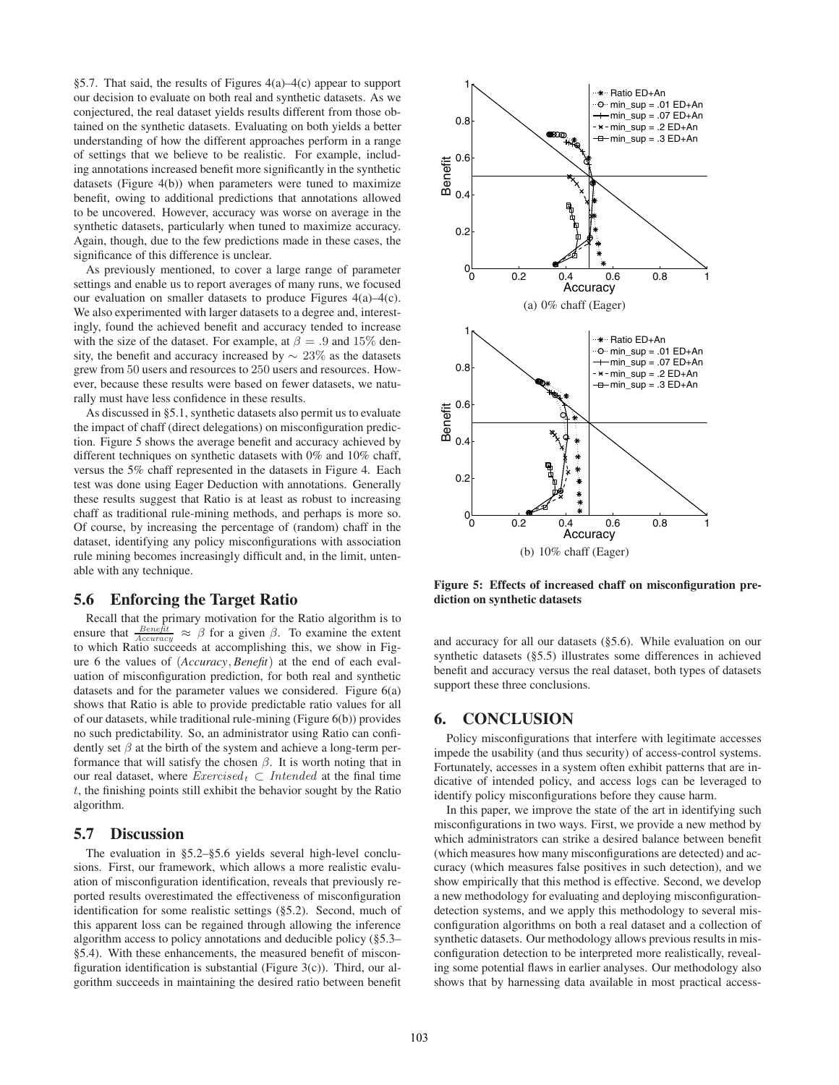§5.7. That said, the results of Figures 4(a)–4(c) appear to support our decision to evaluate on both real and synthetic datasets. As we conjectured, the real dataset yields results different from those obtained on the synthetic datasets. Evaluating on both yields a better understanding of how the different approaches perform in a range of settings that we believe to be realistic. For example, including annotations increased benefit more significantly in the synthetic datasets (Figure 4(b)) when parameters were tuned to maximize benefit, owing to additional predictions that annotations allowed to be uncovered. However, accuracy was worse on average in the synthetic datasets, particularly when tuned to maximize accuracy. Again, though, due to the few predictions made in these cases, the significance of this difference is unclear.

As previously mentioned, to cover a large range of parameter settings and enable us to report averages of many runs, we focused our evaluation on smaller datasets to produce Figures 4(a)–4(c). We also experimented with larger datasets to a degree and, interestingly, found the achieved benefit and accuracy tended to increase with the size of the dataset. For example, at  $\beta = .9$  and 15% density, the benefit and accuracy increased by ∼ 23% as the datasets grew from 50 users and resources to 250 users and resources. However, because these results were based on fewer datasets, we naturally must have less confidence in these results.

As discussed in §5.1, synthetic datasets also permit us to evaluate the impact of chaff (direct delegations) on misconfiguration prediction. Figure 5 shows the average benefit and accuracy achieved by different techniques on synthetic datasets with 0% and 10% chaff, versus the 5% chaff represented in the datasets in Figure 4. Each test was done using Eager Deduction with annotations. Generally these results suggest that Ratio is at least as robust to increasing chaff as traditional rule-mining methods, and perhaps is more so. Of course, by increasing the percentage of (random) chaff in the dataset, identifying any policy misconfigurations with association rule mining becomes increasingly difficult and, in the limit, untenable with any technique.

#### **5.6 Enforcing the Target Ratio**

Recall that the primary motivation for the Ratio algorithm is to ensure that  $\frac{Benefit}{Accuracy} \approx \beta$  for a given  $\beta$ . To examine the extent to which Ratio succeeds at accomplishing this, we show in Figure 6 the values of (*Accuracy*, *Benefit*) at the end of each evaluation of misconfiguration prediction, for both real and synthetic datasets and for the parameter values we considered. Figure 6(a) shows that Ratio is able to provide predictable ratio values for all of our datasets, while traditional rule-mining (Figure 6(b)) provides no such predictability. So, an administrator using Ratio can confidently set  $\beta$  at the birth of the system and achieve a long-term performance that will satisfy the chosen  $\beta$ . It is worth noting that in our real dataset, where  $Exercised_t \subset Intended$  at the final time  $t$ , the finishing points still exhibit the behavior sought by the Ratio algorithm.

### **5.7 Discussion**

The evaluation in §5.2–§5.6 yields several high-level conclusions. First, our framework, which allows a more realistic evaluation of misconfiguration identification, reveals that previously reported results overestimated the effectiveness of misconfiguration identification for some realistic settings (§5.2). Second, much of this apparent loss can be regained through allowing the inference algorithm access to policy annotations and deducible policy (§5.3– §5.4). With these enhancements, the measured benefit of misconfiguration identification is substantial (Figure 3(c)). Third, our algorithm succeeds in maintaining the desired ratio between benefit



**Figure 5: Effects of increased chaff on misconfiguration prediction on synthetic datasets**

and accuracy for all our datasets (§5.6). While evaluation on our synthetic datasets (§5.5) illustrates some differences in achieved benefit and accuracy versus the real dataset, both types of datasets support these three conclusions.

### **6. CONCLUSION**

Policy misconfigurations that interfere with legitimate accesses impede the usability (and thus security) of access-control systems. Fortunately, accesses in a system often exhibit patterns that are indicative of intended policy, and access logs can be leveraged to identify policy misconfigurations before they cause harm.

In this paper, we improve the state of the art in identifying such misconfigurations in two ways. First, we provide a new method by which administrators can strike a desired balance between benefit (which measures how many misconfigurations are detected) and accuracy (which measures false positives in such detection), and we show empirically that this method is effective. Second, we develop a new methodology for evaluating and deploying misconfigurationdetection systems, and we apply this methodology to several misconfiguration algorithms on both a real dataset and a collection of synthetic datasets. Our methodology allows previous results in misconfiguration detection to be interpreted more realistically, revealing some potential flaws in earlier analyses. Our methodology also shows that by harnessing data available in most practical access-